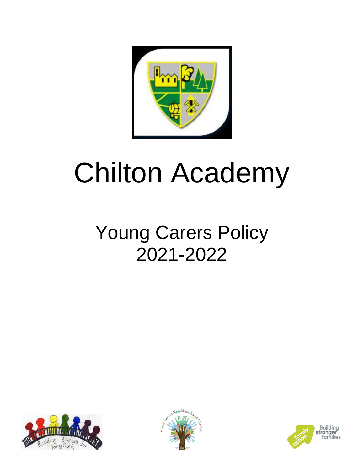

# Chilton Academy

## Young Carers Policy 2021-2022





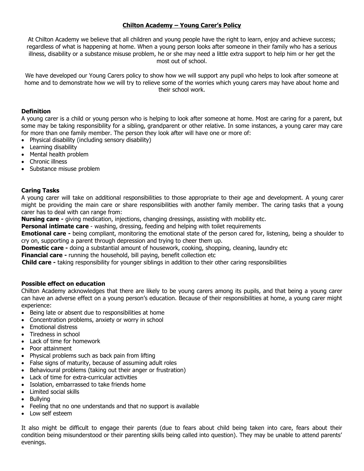### **Chilton Academy – Young Carer's Policy**

At Chilton Academy we believe that all children and young people have the right to learn, enjoy and achieve success; regardless of what is happening at home. When a young person looks after someone in their family who has a serious illness, disability or a substance misuse problem, he or she may need a little extra support to help him or her get the most out of school.

We have developed our Young Carers policy to show how we will support any pupil who helps to look after someone at home and to demonstrate how we will try to relieve some of the worries which young carers may have about home and their school work.

#### **Definition**

A young carer is a child or young person who is helping to look after someone at home. Most are caring for a parent, but some may be taking responsibility for a sibling, grandparent or other relative. In some instances, a young carer may care for more than one family member. The person they look after will have one or more of:

- Physical disability (including sensory disability)
- Learning disability
- Mental health problem
- Chronic illness
- Substance misuse problem

#### **Caring Tasks**

A young carer will take on additional responsibilities to those appropriate to their age and development. A young carer might be providing the main care or share responsibilities with another family member. The caring tasks that a young carer has to deal with can range from:

**Nursing care -** giving medication, injections, changing dressings, assisting with mobility etc.

**Personal intimate care** - washing, dressing, feeding and helping with toilet requirements

**Emotional care -** being compliant, monitoring the emotional state of the person cared for, listening, being a shoulder to cry on, supporting a parent through depression and trying to cheer them up.

**Domestic care -** doing a substantial amount of housework, cooking, shopping, cleaning, laundry etc

**Financial care -** running the household, bill paying, benefit collection etc

**Child care -** taking responsibility for younger siblings in addition to their other caring responsibilities

#### **Possible effect on education**

Chilton Academy acknowledges that there are likely to be young carers among its pupils, and that being a young carer can have an adverse effect on a young person's education. Because of their responsibilities at home, a young carer might experience:

- Being late or absent due to responsibilities at home
- Concentration problems, anxiety or worry in school
- Emotional distress
- Tiredness in school
- Lack of time for homework
- Poor attainment
- Physical problems such as back pain from lifting
- False signs of maturity, because of assuming adult roles
- Behavioural problems (taking out their anger or frustration)
- Lack of time for extra-curricular activities
- Isolation, embarrassed to take friends home
- Limited social skills
- Bullying
- Feeling that no one understands and that no support is available
- Low self esteem

It also might be difficult to engage their parents (due to fears about child being taken into care, fears about their condition being misunderstood or their parenting skills being called into question). They may be unable to attend parents' evenings.